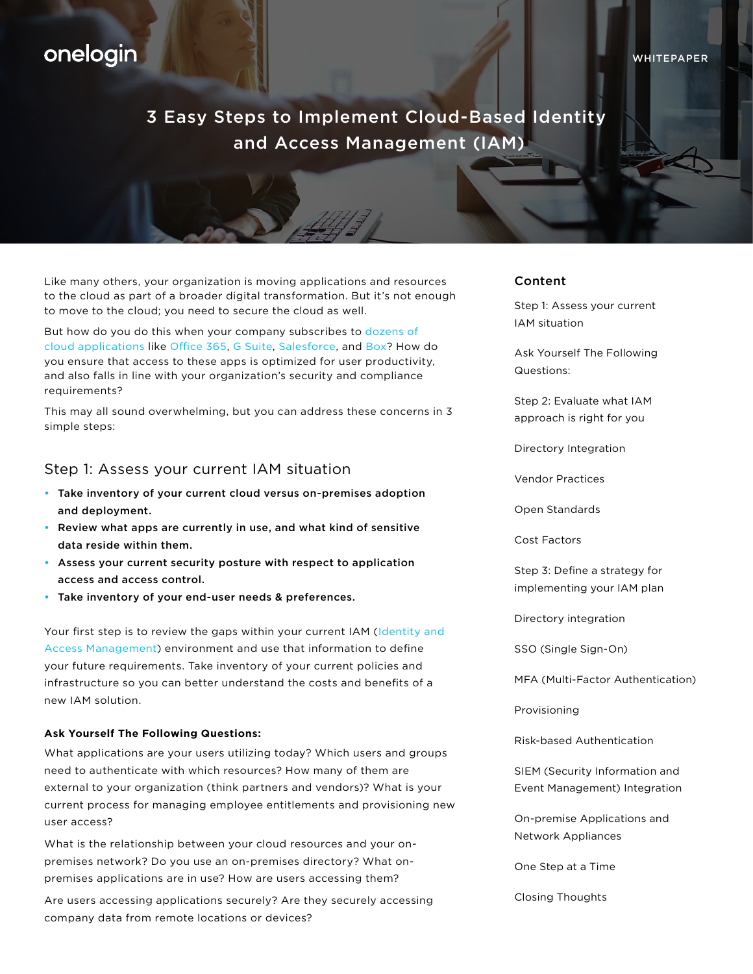# onelogin

# 3 Easy Steps to Implement Cloud-Based Identity and Access Management (IAM)

Like many others, your organization is moving applications and resources to the cloud as part of a broader digital transformation. But it's not enough to move to the cloud; you need to secure the cloud as well.

But how do you do this when your company subscribes to [dozens of](https://www.onelogin.com/product/app-catalog)  [cloud applications](https://www.onelogin.com/product/app-catalog) like [Office 365](https://www.onelogin.com/partners/isv-partners/office-365), [G Suite](https://www.onelogin.com/partners/isv-partners/g-suite), [Salesforce,](https://www.onelogin.com/partners/isv-partners/salesforce) and [Box?](https://www.onelogin.com/partners/isv-partners/box) How do you ensure that access to these apps is optimized for user productivity, and also falls in line with your organization's security and compliance requirements?

This may all sound overwhelming, but you can address these concerns in 3 simple steps:

# Step 1: Assess your current IAM situation

- Take inventory of your current cloud versus on-premises adoption and deployment.
- Review what apps are currently in use, and what kind of sensitive data reside within them.
- Assess your current security posture with respect to application access and access control.
- Take inventory of your end-user needs & preferences.

Your first step is to review the gaps within your current IAM ([Identity and](https://www.onelogin.com/lp/demo?v=af&utm_term=watch&_bk=onelogin%20identity%20management&_bt=219895142316&_bm=e&_bn=g&utm_medium=cpc&utm_source=google&gclid=EAIaIQobChMIg_mZvrPm1gIVEpR-Ch31uAGmEAAYASAAEgKGiPD_BwE)  [Access Management\)](https://www.onelogin.com/lp/demo?v=af&utm_term=watch&_bk=onelogin%20identity%20management&_bt=219895142316&_bm=e&_bn=g&utm_medium=cpc&utm_source=google&gclid=EAIaIQobChMIg_mZvrPm1gIVEpR-Ch31uAGmEAAYASAAEgKGiPD_BwE) environment and use that information to define your future requirements. Take inventory of your current policies and infrastructure so you can better understand the costs and benefits of a new IAM solution.

#### **Ask Yourself The Following Questions:**

What applications are your users utilizing today? Which users and groups need to authenticate with which resources? How many of them are external to your organization (think partners and vendors)? What is your current process for managing employee entitlements and provisioning new user access?

What is the relationship between your cloud resources and your onpremises network? Do you use an on-premises directory? What onpremises applications are in use? How are users accessing them?

Are users accessing applications securely? Are they securely accessing company data from remote locations or devices?

#### Content

Step 1: Assess your current IAM situation

Ask Yourself The Following Questions:

Step 2: Evaluate what IAM [approach is right for you](#page-1-0)

[Directory Integration](#page-1-0)

[Vendor Practices](#page-1-0)

[Open Standards](#page-3-0)

[Cost Factors](#page-4-0)

[Step 3: Define a strategy for](#page-4-0)  implementing your IAM plan

[Directory integration](#page-5-0)

[SSO \(Single Sign-On\)](#page-5-0)

[MFA \(Multi-Factor Authentication\)](#page-5-0)

[Provisioning](#page-5-0)

[Risk-based Authentication](#page-6-0)

SIEM (Security Information and [Event Management\) Integration](#page-6-0)

On-premise Applications and [Network Appliances](#page-6-0)

[One Step at a Time](#page-6-0)

[Closing Thoughts](#page-7-0)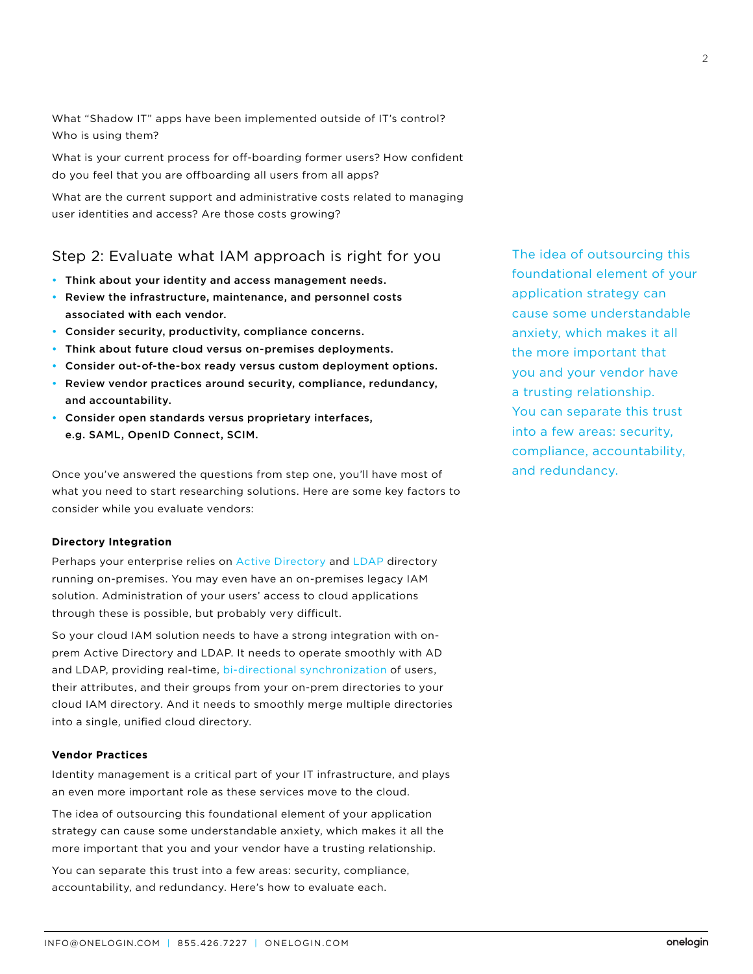<span id="page-1-0"></span>What "Shadow IT" apps have been implemented outside of IT's control? Who is using them?

What is your current process for off-boarding former users? How confident do you feel that you are offboarding all users from all apps?

What are the current support and administrative costs related to managing user identities and access? Are those costs growing?

# Step 2: Evaluate what IAM approach is right for you

- Think about your identity and access management needs.
- Review the infrastructure, maintenance, and personnel costs associated with each vendor.
- Consider security, productivity, compliance concerns.
- Think about future cloud versus on-premises deployments.
- Consider out-of-the-box ready versus custom deployment options.
- Review vendor practices around security, compliance, redundancy, and accountability.
- Consider open standards versus proprietary interfaces, e.g. SAML, OpenID Connect, SCIM.

Once you've answered the questions from step one, you'll have most of what you need to start researching solutions. Here are some key factors to consider while you evaluate vendors:

## **Directory Integration**

Perhaps your enterprise relies on [Active Directory](https://www.onelogin.com/active-directory-sso) and [LDAP](https://www.onelogin.com/blog/how-onelogin-is-bridging-cloud-and-on-premise-directories) directory running on-premises. You may even have an on-premises legacy IAM solution. Administration of your users' access to cloud applications through these is possible, but probably very difficult.

So your cloud IAM solution needs to have a strong integration with onprem Active Directory and LDAP. It needs to operate smoothly with AD and LDAP, providing real-time, [bi-directional synchronization](https://www.onelogin.com/blog/exploring-ad-sync-across-iam-software) of users, their attributes, and their groups from your on-prem directories to your cloud IAM directory. And it needs to smoothly merge multiple directories into a single, unified cloud directory.

#### **Vendor Practices**

Identity management is a critical part of your IT infrastructure, and plays an even more important role as these services move to the cloud.

The idea of outsourcing this foundational element of your application strategy can cause some understandable anxiety, which makes it all the more important that you and your vendor have a trusting relationship.

You can separate this trust into a few areas: security, compliance, accountability, and redundancy. Here's how to evaluate each.

The idea of outsourcing this foundational element of your application strategy can cause some understandable anxiety, which makes it all the more important that you and your vendor have a trusting relationship. You can separate this trust into a few areas: security, compliance, accountability, and redundancy.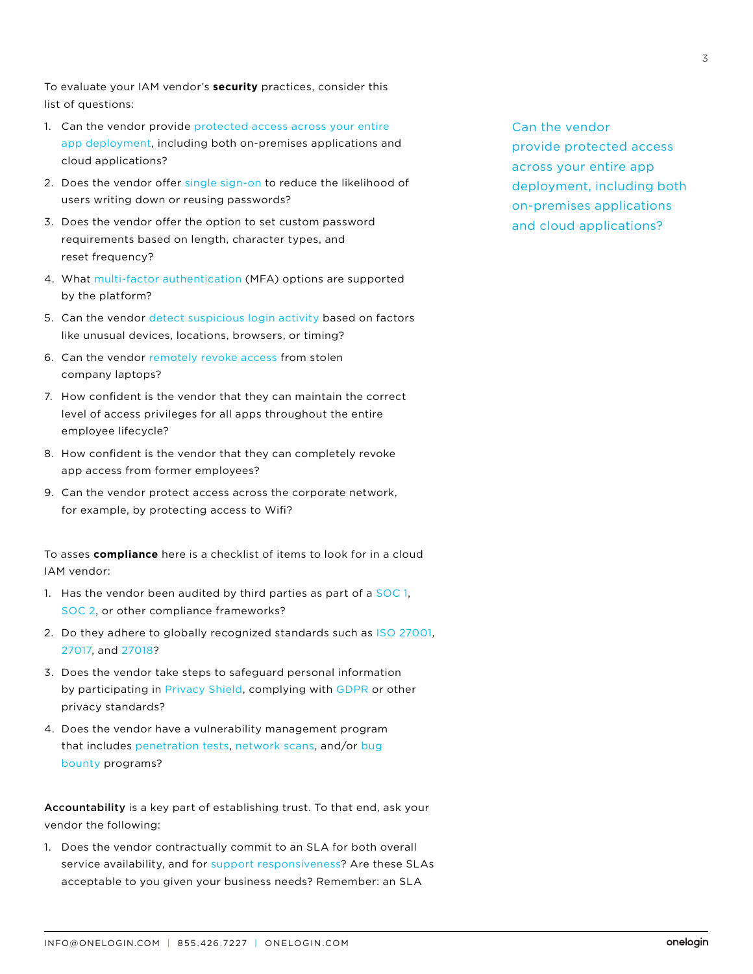To evaluate your IAM vendor's **security** practices, consider this list of questions:

- 1. Can the vendor provide [protected access across your entire](https://www.onelogin.com/product/web-access-management) [app deployment,](https://www.onelogin.com/product/web-access-management) including both on-premises applications and cloud applications?
- 2. Does the vendor offer [single sign-on](https://www.onelogin.com/lp/demo?v=bf&utm_term=watch&headline=OneLogin%E2%84%A2+Single+Sign-On+Solution&_bk=onelogin%20sso&_bt=221195878067&_bm=e&_bn=g&utm_medium=cpc&utm_source=google&gclid=EAIaIQobChMIzZaK3JyD2QIVhMVkCh3YfwBWEAAYASAAEgL3lvD_BwE) to reduce the likelihood of users writing down or reusing passwords?
- 3. Does the vendor offer the option to set custom password requirements based on length, character types, and reset frequency?
- 4. What [multi-factor authentication](https://www.onelogin.com/product/multi-factor-authentication) (MFA) options are supported by the platform?
- 5. Can the vendor [detect suspicious login activity](https://www.onelogin.com/product/adaptive-authentication) based on factors like unusual devices, locations, browsers, or timing?
- 6. Can the vendor [remotely revoke access](https://www.onelogin.com/product/desktop) from stolen company laptops?
- 7. How confident is the vendor that they can maintain the correct level of access privileges for all apps throughout the entire employee lifecycle?
- 8. How confident is the vendor that they can completely revoke app access from former employees?
- 9. Can the vendor protect access across the corporate network, for example, by protecting access to Wifi?

To asses **compliance** here is a checklist of items to look for in a cloud IAM vendor:

- 1. Has the vendor been audited by third parties as part of a [SOC 1,](https://www.onelogin.com/compliance/soc-1-type-2) [SOC 2,](https://www.onelogin.com/compliance/soc-2-type-2) or other compliance frameworks?
- 2. Do they adhere to globally recognized standards such as [ISO 27001,](https://www.onelogin.com/compliance/iso-27001-2013) [27017,](https://www.onelogin.com/compliance/iso-27017-2015) and [27018?](https://www.onelogin.com/compliance/iso-27018-2014)
- 3. Does the vendor take steps to safeguard personal information by participating in [Privacy Shield](https://www.onelogin.com/compliance/safe-harbor), complying with [GDPR](https://www.onelogin.com/blog/1-simple-step-to-comply-with-eudpd-gdpr-and-other-regulations) or other privacy standards?
- 4. Does the vendor have a vulnerability management program that includes [penetration tests,](https://www.onelogin.com/compliance/penetration-tests) [network scans,](https://www.onelogin.com/compliance/network-scans) and/or [bug](https://www.onelogin.com/compliance/bug-bounty-program)  [bounty](https://www.onelogin.com/compliance/bug-bounty-program) programs?

Accountability is a key part of establishing trust. To that end, ask your vendor the following:

1. Does the vendor contractually commit to an SLA for both overall service availability, and for [support responsiveness?](https://support.onelogin.com/hc/en-us/articles/115001710103-Severity-Definitions-Target-Response-SLA-s) Are these SLAs acceptable to you given your business needs? Remember: an SLA

Can the vendor provide protected access across your entire app deployment, including both on-premises applications and cloud applications?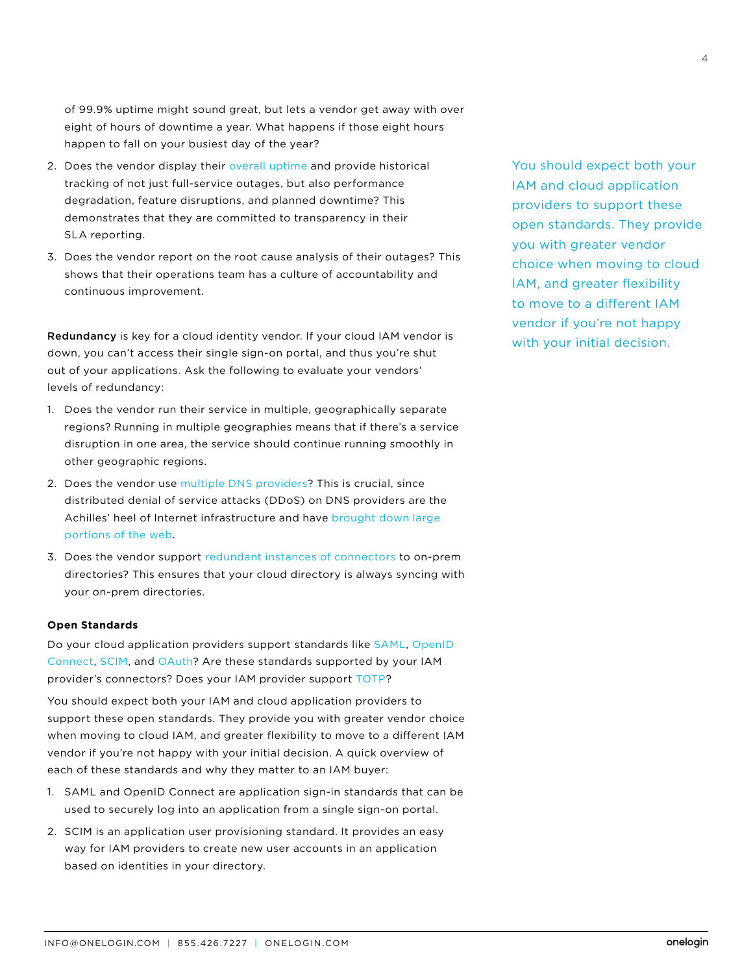<span id="page-3-0"></span>of 99.9% uptime might sound great, but lets a vendor get away with over eight of hours of downtime a year. What happens if those eight hours happen to fall on your busiest day of the year?

- 2. Does the vendor display their [overall uptime a](https://www.onelogin.com/why-onelogin/trust)nd provide historical tracking of not just full-service outages, but also performance degradation, feature disruptions, and planned downtime? This demonstrates that they are committed to transparency in their SLA reporting.
- 3. Does the vendor report on the root cause analysis of their outages? This shows that their operations team has a culture of accountability and continuous improvement.

Redundancy is key for a cloud identity vendor. If your cloud IAM vendor is down, you can't access their single sign-on portal, and thus you're shut out of your applications. Ask the following to evaluate your vendors' levels of redundancy:

- 1. Does the vendor run their service in multiple, geographically separate regions? Running in multiple geographies means that if there's a service disruption in one area, the service should continue running smoothly in other geographic regions.
- 2. Does the vendor use [multiple DNS providers](https://who.is/whois/onelogin.com/)? This is crucial, since distributed denial of service attacks (DDoS) on DNS providers are the Achilles' heel of Internet infrastructure and have [brought down large](https://www.onelogin.com/blog/how-onelogin-maintained-100-percent-uptime-during-the-dyn-ddos-attack)  [portions of the web.](https://www.onelogin.com/blog/how-onelogin-maintained-100-percent-uptime-during-the-dyn-ddos-attack)
- 3. Does the vendor support [redundant instances of connectors](https://support.onelogin.com/hc/en-us/articles/203684074-Installing-Additional-Active-Directory-Connectors-for-High-Availability) to on-prem directories? This ensures that your cloud directory is always syncing with your on-prem directories.

#### **Open Standards**

Do your cloud application providers support standards like [SAML](https://www.onelogin.com/saml), [OpenID](https://www.onelogin.com/openid-connect) [Connect](https://www.onelogin.com/openid-connect), [SCIM,](https://www.onelogin.com/blog/onelogin-product-update-scim-for-user-provisioning) and [OAuth?](https://developers.onelogin.com/api-docs/1/oauth20-tokens/generate-tokens) Are these standards supported by your IAM provider's connectors? Does your IAM provider support [TOTP?](https://www.onelogin.com/product/one-time-password)

You should expect both your IAM and cloud application providers to support these open standards. They provide you with greater vendor choice when moving to cloud IAM, and greater flexibility to move to a different IAM vendor if you're not happy with your initial decision. A quick overview of each of these standards and why they matter to an IAM buyer:

- 1. SAML and OpenID Connect are application sign-in standards that can be used to securely log into an application from a single sign-on portal.
- 2. SCIM is an application user provisioning standard. It provides an easy way for IAM providers to create new user accounts in an application based on identities in your directory.

You should expect both your IAM and cloud application providers to support these open standards. They provide you with greater vendor choice when moving to cloud IAM, and greater flexibility to move to a different IAM vendor if you're not happy with your initial decision.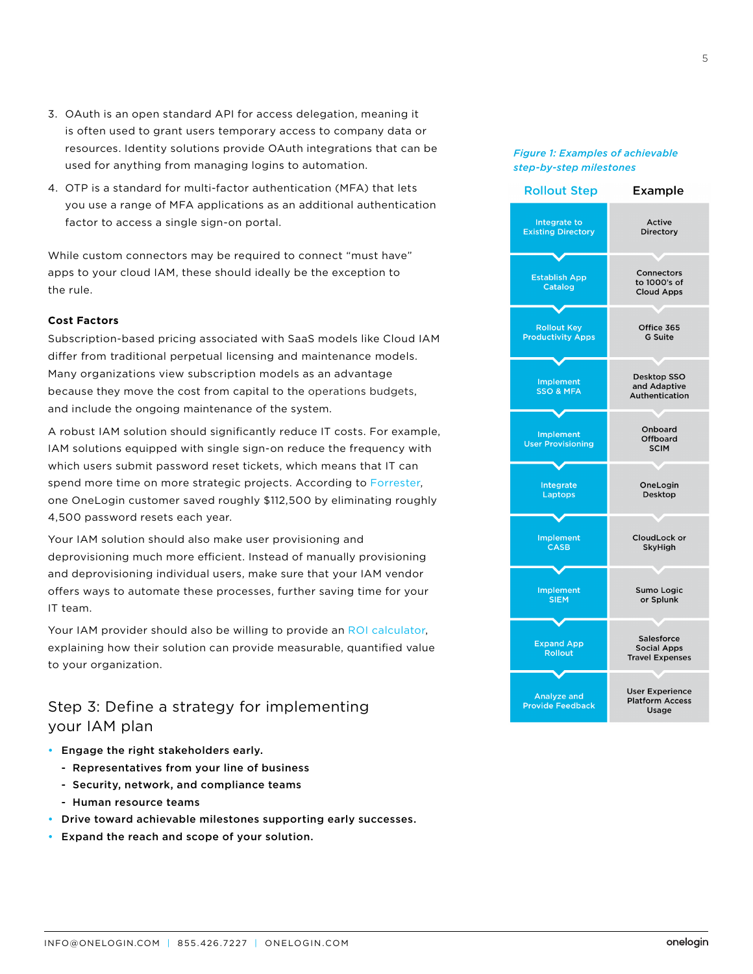- <span id="page-4-0"></span>3. OAuth is an open standard API for access delegation, meaning it is often used to grant users temporary access to company data or resources. Identity solutions provide OAuth integrations that can be used for anything from managing logins to automation.
- 4. OTP is a standard for multi-factor authentication (MFA) that lets you use a range of MFA applications as an additional authentication factor to access a single sign-on portal.

While custom connectors may be required to connect "must have" apps to your cloud IAM, these should ideally be the exception to the rule.

## **Cost Factors**

Subscription-based pricing associated with SaaS models like Cloud IAM differ from traditional perpetual licensing and maintenance models. Many organizations view subscription models as an advantage because they move the cost from capital to the operations budgets, and include the ongoing maintenance of the system.

A robust IAM solution should significantly reduce IT costs. For example, IAM solutions equipped with single sign-on reduce the frequency with which users submit password reset tickets, which means that IT can spend more time on more strategic projects. According to [Forrester,](https://www.onelogin.com/resource-center/analyst-reports/forrester-tei-study-for-onelogin-idaas-sso-solution)  one OneLogin customer saved roughly \$112,500 by eliminating roughly 4,500 password resets each year.

Your IAM solution should also make user provisioning and deprovisioning much more efficient. Instead of manually provisioning and deprovisioning individual users, make sure that your IAM vendor offers ways to automate these processes, further saving time for your IT team.

Your IAM provider should also be willing to provide an [ROI calculator](https://www.onelogin.com/blog/calculate-the-roi-of-onelogin-for-your-business), explaining how their solution can provide measurable, quantified value to your organization.

Step 3: Define a strategy for implementing your IAM plan

- Engage the right stakeholders early.
	- Representatives from your line of business
	- Security, network, and compliance teams
	- Human resource teams
- Drive toward achievable milestones supporting early successes.
- Expand the reach and scope of your solution.

# *Figure 1: Examples of achievable step-by-step milestones*

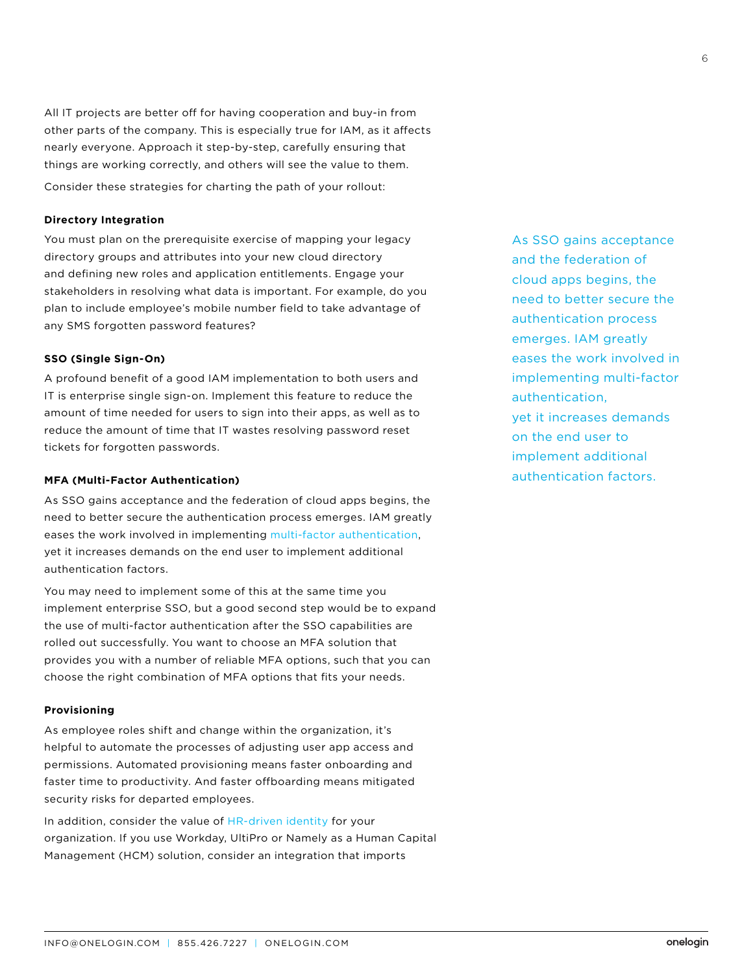<span id="page-5-0"></span>All IT projects are better off for having cooperation and buy-in from other parts of the company. This is especially true for IAM, as it affects nearly everyone. Approach it step-by-step, carefully ensuring that things are working correctly, and others will see the value to them. Consider these strategies for charting the path of your rollout:

#### **Directory Integration**

You must plan on the prerequisite exercise of mapping your legacy directory groups and attributes into your new cloud directory and defining new roles and application entitlements. Engage your stakeholders in resolving what data is important. For example, do you plan to include employee's mobile number field to take advantage of any SMS forgotten password features?

#### **SSO (Single Sign-On)**

A profound benefit of a good IAM implementation to both users and IT is enterprise single sign-on. Implement this feature to reduce the amount of time needed for users to sign into their apps, as well as to reduce the amount of time that IT wastes resolving password reset tickets for forgotten passwords.

## **MFA (Multi-Factor Authentication)**

As SSO gains acceptance and the federation of cloud apps begins, the need to better secure the authentication process emerges. IAM greatly eases the work involved in implementing [multi-factor authentication](https://www.onelogin.com/product/multi-factor-authentication), yet it increases demands on the end user to implement additional authentication factors.

You may need to implement some of this at the same time you implement enterprise SSO, but a good second step would be to expand the use of multi-factor authentication after the SSO capabilities are rolled out successfully. You want to choose an MFA solution that provides you with a number of reliable MFA options, such that you can choose the right combination of MFA options that fits your needs.

#### **Provisioning**

As employee roles shift and change within the organization, it's helpful to automate the processes of adjusting user app access and permissions. Automated provisioning means faster onboarding and faster time to productivity. And faster offboarding means mitigated security risks for departed employees.

In addition, consider the value of [HR-driven](https://www.onelogin.com/solutions/hr-integration) identity for your organization. If you use Workday, UltiPro or Namely as a Human Capital Management (HCM) solution, consider an integration that imports

As SSO gains acceptance and the federation of cloud apps begins, the need to better secure the authentication process emerges. IAM greatly eases the work involved in implementing multi-factor authentication, yet it increases demands on the end user to implement additional authentication factors.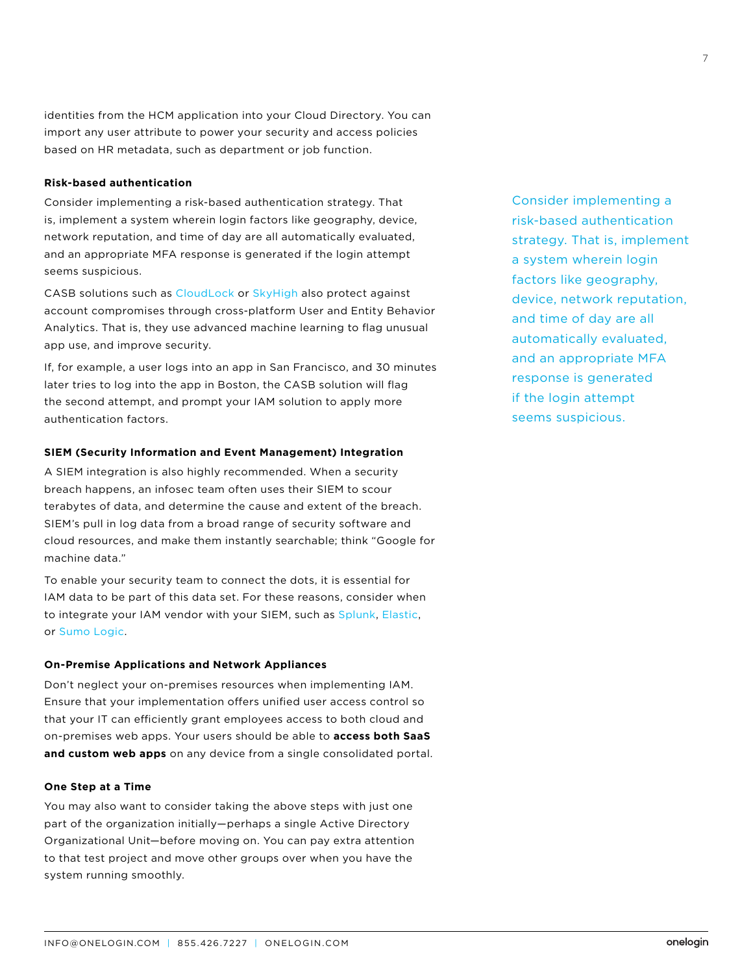<span id="page-6-0"></span>identities from the HCM application into your Cloud Directory. You can import any user attribute to power your security and access policies based on HR metadata, such as department or job function.

## **Risk-based authentication**

Consider implementing a risk-based authentication strategy. That is, implement a system wherein login factors like geography, device, network reputation, and time of day are all automatically evaluated, and an appropriate MFA response is generated if the login attempt seems suspicious.

CASB solutions such as [CloudLock](https://www.youtube.com/watch?v=_g6kab___iw) or [SkyHigh](https://www.onelogin.com/company/press/press-releases/new-onelogin-integration-platform-enables-dynamic-adaptive-security-policies) also protect against account compromises through cross-platform User and Entity Behavior Analytics. That is, they use advanced machine learning to flag unusual app use, and improve security.

If, for example, a user logs into an app in San Francisco, and 30 minutes later tries to log into the app in Boston, the CASB solution will flag the second attempt, and prompt your IAM solution to apply more authentication factors.

#### **SIEM (Security Information and Event Management) Integration**

A SIEM integration is also highly recommended. When a security breach happens, an infosec team often uses their SIEM to scour terabytes of data, and determine the cause and extent of the breach. SIEM's pull in log data from a broad range of security software and cloud resources, and make them instantly searchable; think "Google for machine data."

To enable your security team to connect the dots, it is essential for IAM data to be part of this data set. For these reasons, consider when to integrate your IAM vendor with your SIEM, such as [Splunk,](https://support.onelogin.com/hc/en-us/articles/210457943-Using-Splunk-to-Visualize-OneLogin-Events) [Elastic](https://support.onelogin.com/hc/en-us/articles/215214143-Streaming-Real-Time-OneLogin-Event-Data-to-your-SIEM-Solution), or [Sumo Logic](https://www.onelogin.com/blog/onelogin-integrates-with-sumo-logic-for-enhanced-visibility-and-threat-detection).

#### **On-Premise Applications and Network Appliances**

Don't neglect your on-premises resources when implementing IAM. Ensure that your implementation offers unified user access control so that your IT can efficiently grant employees access to both cloud and on-premises web apps. Your users should be able to **access both SaaS and custom web apps** on any device from a single consolidated portal.

#### **One Step at a Time**

You may also want to consider taking the above steps with just one part of the organization initially—perhaps a single Active Directory Organizational Unit—before moving on. You can pay extra attention to that test project and move other groups over when you have the system running smoothly.

Consider implementing a risk-based authentication strategy. That is, implement a system wherein login factors like geography, device, network reputation, and time of day are all automatically evaluated, and an appropriate MFA response is generated if the login attempt seems suspicious.